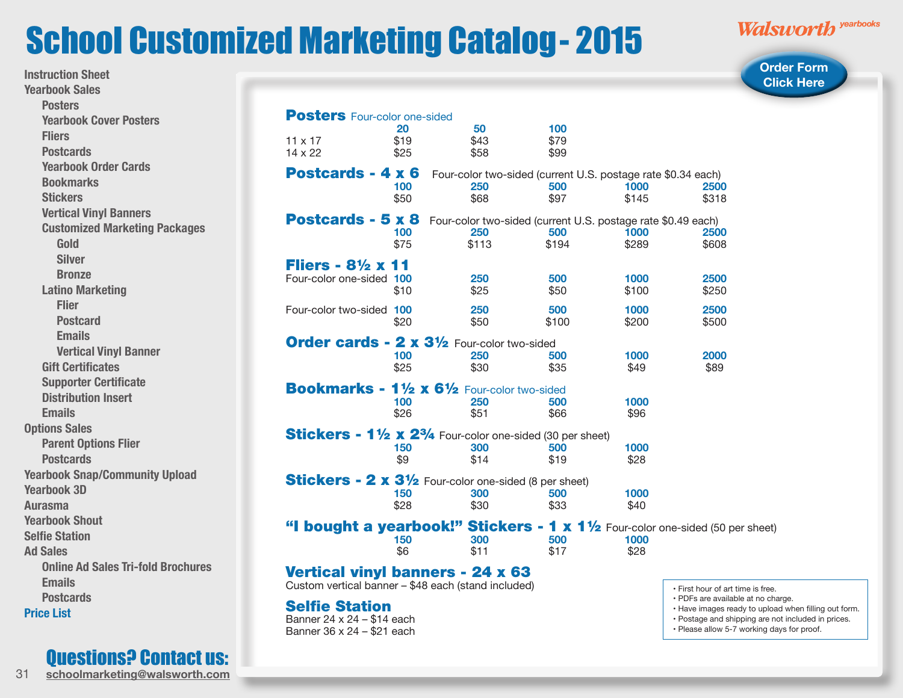## <span id="page-0-0"></span>School Customized Marketing Catalog- 2015

**Instruction Sheet**

Questions? Contact us:

31 **schoolmarketing@walsworth.com**

Walsworth yearbooks

**[Order Form](http://www.walsworthyearbooks.com/contact/customized-marketing-request/)  Click Here** 

| <b>Yearbook Sales</b>                     |                                  |                                                                                |             |                                                                                            |               | <b>Click Here</b>                                                                             |  |
|-------------------------------------------|----------------------------------|--------------------------------------------------------------------------------|-------------|--------------------------------------------------------------------------------------------|---------------|-----------------------------------------------------------------------------------------------|--|
| <b>Posters</b>                            |                                  |                                                                                |             |                                                                                            |               |                                                                                               |  |
| <b>Yearbook Cover Posters</b>             |                                  | <b>Posters</b> Four-color one-sided                                            |             |                                                                                            |               |                                                                                               |  |
| <b>Fliers</b>                             |                                  | 20                                                                             | 50          | 100                                                                                        |               |                                                                                               |  |
| <b>Postcards</b>                          | $11 \times 17$                   | \$19                                                                           | \$43        | \$79                                                                                       |               |                                                                                               |  |
|                                           | 14 x 22                          | \$25                                                                           | \$58        | \$99                                                                                       |               |                                                                                               |  |
| <b>Yearbook Order Cards</b>               | Postcards - 4 x 6                |                                                                                |             | Four-color two-sided (current U.S. postage rate \$0.34 each)                               |               |                                                                                               |  |
| <b>Bookmarks</b>                          |                                  | 100                                                                            | 250         | 500                                                                                        | 1000          | <b>2500</b>                                                                                   |  |
| <b>Stickers</b>                           |                                  | \$50                                                                           | \$68        | \$97                                                                                       | \$145         | \$318                                                                                         |  |
| <b>Vertical Vinyl Banners</b>             |                                  | Postcards - 5 x 8 Four-color two-sided (current U.S. postage rate \$0.49 each) |             |                                                                                            |               |                                                                                               |  |
| <b>Customized Marketing Packages</b>      |                                  | 100                                                                            | 250         | 500                                                                                        | 1000          | 2500                                                                                          |  |
| Gold                                      |                                  | \$75                                                                           | \$113       | \$194                                                                                      | \$289         | \$608                                                                                         |  |
| <b>Silver</b>                             | Fliers - $8\frac{1}{2}$ x 11     |                                                                                |             |                                                                                            |               |                                                                                               |  |
| <b>Bronze</b>                             | Four-color one-sided 100         |                                                                                | 250         | 500                                                                                        | 1000          | 2500                                                                                          |  |
| <b>Latino Marketing</b>                   |                                  | \$10                                                                           | \$25        | \$50                                                                                       | \$100         | \$250                                                                                         |  |
| <b>Flier</b>                              |                                  |                                                                                | 250         |                                                                                            |               | 2500                                                                                          |  |
| <b>Postcard</b>                           | Four-color two-sided 100         | \$20                                                                           | \$50        | 500<br>\$100                                                                               | 1000<br>\$200 | \$500                                                                                         |  |
| <b>Emails</b>                             |                                  |                                                                                |             |                                                                                            |               |                                                                                               |  |
| <b>Vertical Vinyl Banner</b>              |                                  | <b>Order cards - 2 x 31/2 Four-color two-sided</b>                             |             |                                                                                            |               |                                                                                               |  |
| <b>Gift Certificates</b>                  |                                  | 100<br>\$25                                                                    | 250<br>\$30 | 500<br>\$35                                                                                | 1000<br>\$49  | 2000<br>\$89                                                                                  |  |
|                                           |                                  |                                                                                |             |                                                                                            |               |                                                                                               |  |
| <b>Supporter Certificate</b>              |                                  | Bookmarks - 11/2 x 61/2 Four-color two-sided                                   |             |                                                                                            |               |                                                                                               |  |
| <b>Distribution Insert</b>                |                                  | 100                                                                            | 250         | 500                                                                                        | 1000          |                                                                                               |  |
| <b>Emails</b>                             |                                  | \$26                                                                           | \$51        | \$66                                                                                       | \$96          |                                                                                               |  |
| <b>Options Sales</b>                      |                                  | Stickers - 11/2 x 23/4 Four-color one-sided (30 per sheet)                     |             |                                                                                            |               |                                                                                               |  |
| <b>Parent Options Flier</b>               |                                  | 150                                                                            | 300         | 500                                                                                        | 1000          |                                                                                               |  |
| <b>Postcards</b>                          |                                  | \$9                                                                            | \$14        | \$19                                                                                       | \$28          |                                                                                               |  |
| <b>Yearbook Snap/Community Upload</b>     |                                  | Stickers - 2 x 31/2 Four-color one-sided (8 per sheet)                         |             |                                                                                            |               |                                                                                               |  |
| <b>Yearbook 3D</b>                        |                                  | 150                                                                            | 300         | 500                                                                                        | 1000          |                                                                                               |  |
| <b>Aurasma</b>                            |                                  | \$28                                                                           | \$30        | \$33                                                                                       | \$40          |                                                                                               |  |
| <b>Yearbook Shout</b>                     |                                  |                                                                                |             |                                                                                            |               |                                                                                               |  |
| <b>Selfie Station</b>                     |                                  |                                                                                | 300         | 500                                                                                        |               | "I bought a yearbook!" Stickers - $1 \times 1\frac{1}{2}$ Four-color one-sided (50 per sheet) |  |
| <b>Ad Sales</b>                           |                                  | 150<br>\$6                                                                     | \$11        | \$17                                                                                       | 1000<br>\$28  |                                                                                               |  |
| <b>Online Ad Sales Tri-fold Brochures</b> |                                  |                                                                                |             |                                                                                            |               |                                                                                               |  |
| <b>Emails</b>                             | Vertical vinyl banners - 24 x 63 |                                                                                |             |                                                                                            |               |                                                                                               |  |
|                                           |                                  | Custom vertical banner - \$48 each (stand included)                            |             |                                                                                            |               | · First hour of art time is free.                                                             |  |
| <b>Postcards</b>                          | <b>Selfie Station</b>            |                                                                                |             | · PDFs are available at no charge.<br>• Have images ready to upload when filling out form. |               |                                                                                               |  |
| <b>Price List</b>                         | Banner 24 x 24 - \$14 each       |                                                                                |             |                                                                                            |               | • Postage and shipping are not included in prices.                                            |  |
|                                           | Banner 36 x 24 - \$21 each       |                                                                                |             |                                                                                            |               | · Please allow 5-7 working days for proof.                                                    |  |